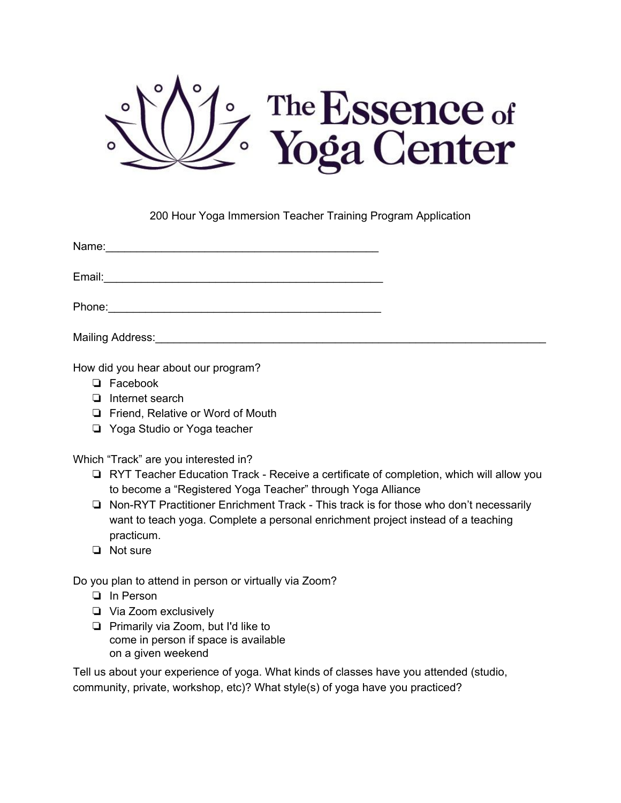

200 Hour Yoga Immersion Teacher Training Program Application

Name:\_\_\_\_\_\_\_\_\_\_\_\_\_\_\_\_\_\_\_\_\_\_\_\_\_\_\_\_\_\_\_\_\_\_\_\_\_\_\_\_\_\_\_\_

Email:\_\_\_\_\_\_\_\_\_\_\_\_\_\_\_\_\_\_\_\_\_\_\_\_\_\_\_\_\_\_\_\_\_\_\_\_\_\_\_\_\_\_\_\_\_

Phone:

Mailing Address: **Mailing Address**:

How did you hear about our program?

- ❏ Facebook
- ❏ Internet search
- ❏ Friend, Relative or Word of Mouth
- ❏ Yoga Studio or Yoga teacher

Which "Track" are you interested in?

- ❏ RYT Teacher Education Track Receive a certificate of completion, which will allow you to become a "Registered Yoga Teacher" through Yoga Alliance
- ❏ Non-RYT Practitioner Enrichment Track This track is for those who don't necessarily want to teach yoga. Complete a personal enrichment project instead of a teaching practicum.
- ❏ Not sure

Do you plan to attend in person or virtually via Zoom?

- In Person ❏
- ❏ Via Zoom exclusively
- ❏ Primarily via Zoom, but I'd like to come in person if space is available on a given weekend

Tell us about your experience of yoga. What kinds of classes have you attended (studio, community, private, workshop, etc)? What style(s) of yoga have you practiced?